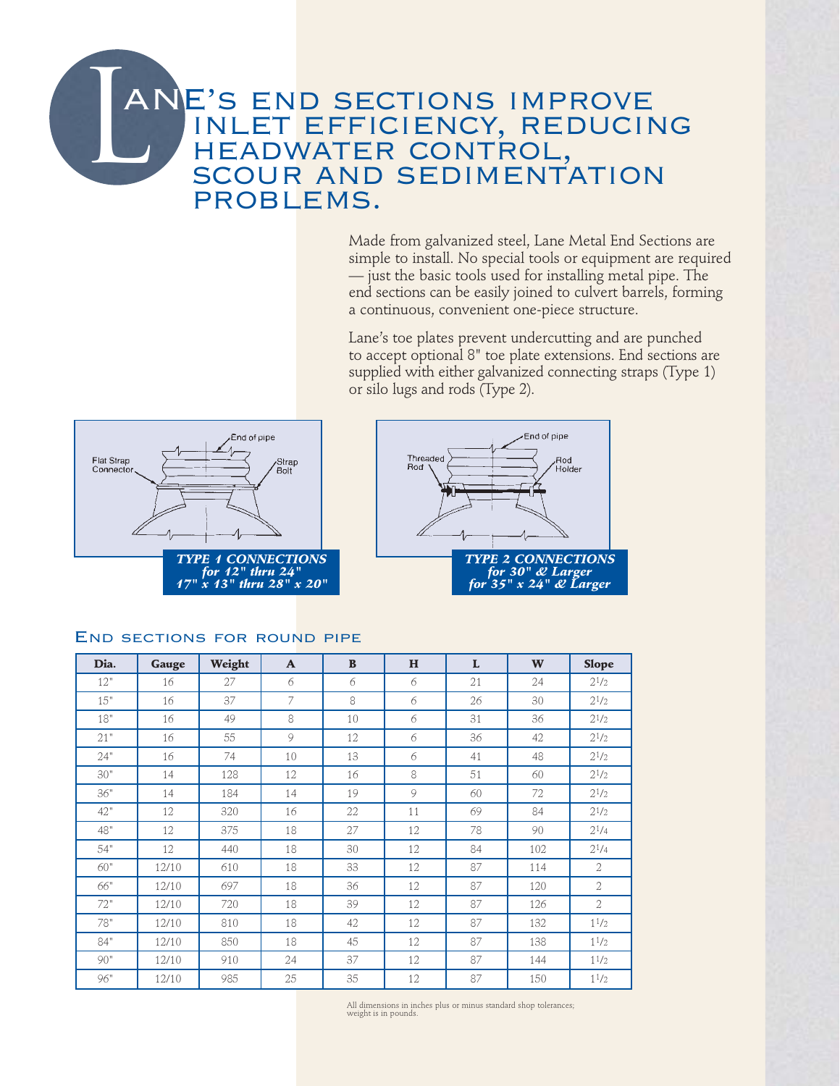## $\frac{1}{2}$ ANE's end sections improve i'S END SECTIONS IMPROVE<br>INLET EFFICIENCY, REDUCING INLET EFFICIENCY, RED<br>HEADWATER CONTROL. HEADWATER CONTROL,<br>SCOUR AND SEDIMENTATION problems.

Made from galvanized steel, Lane Metal End Sections are simple to install. No special tools or equipment are required — just the basic tools used for installing metal pipe. The end sections can be easily joined to culvert barrels, forming a continuous, convenient one-piece structure.

Lane's toe plates prevent undercutting and are punched to accept optional 8" toe plate extensions. End sections are supplied with either galvanized connecting straps (Type 1) or silo lugs and rods (Type 2).





## END SECTIONS FOR ROUND PIPE

| Dia. | Gauge | Weight | $\mathbf{A}$ | $\mathbf{B}$ | H  | L  | W   | <b>Slope</b>   |
|------|-------|--------|--------------|--------------|----|----|-----|----------------|
| 12"  | 16    | 27     | 6            | 6            | 6  | 21 | 24  | $2^{1/2}$      |
| 15"  | 16    | 37     | 7            | 8            | 6  | 26 | 30  | $2^{1/2}$      |
| 18"  | 16    | 49     | 8            | 10           | 6  | 31 | 36  | $2^{1/2}$      |
| 21"  | 16    | 55     | 9            | 12           | 6  | 36 | 42  | $2^{1/2}$      |
| 24"  | 16    | 74     | 10           | 13           | 6  | 41 | 48  | $2^{1/2}$      |
| 30"  | 14    | 128    | 12           | 16           | 8  | 51 | 60  | $2^{1/2}$      |
| 36"  | 14    | 184    | 14           | 19           | 9  | 60 | 72  | $2^{1/2}$      |
| 42"  | 12    | 320    | 16           | 22           | 11 | 69 | 84  | $2^{1/2}$      |
| 48"  | 12    | 375    | 18           | 27           | 12 | 78 | 90  | $2^{1/4}$      |
| 54"  | 12    | 440    | 18           | 30           | 12 | 84 | 102 | $2^{1/4}$      |
| 60"  | 12/10 | 610    | 18           | 33           | 12 | 87 | 114 | $\overline{2}$ |
| 66"  | 12/10 | 697    | 18           | 36           | 12 | 87 | 120 | $\overline{2}$ |
| 72"  | 12/10 | 720    | 18           | 39           | 12 | 87 | 126 | 2              |
| 78"  | 12/10 | 810    | 18           | 42           | 12 | 87 | 132 | $1^{1/2}$      |
| 84"  | 12/10 | 850    | 18           | 45           | 12 | 87 | 138 | $1^{1/2}$      |
| 90"  | 12/10 | 910    | 24           | 37           | 12 | 87 | 144 | $1^{1/2}$      |
| 96"  | 12/10 | 985    | 25           | 35           | 12 | 87 | 150 | $1^{1/2}$      |

All dimensions in inches plus or minus standard shop tolerances; weight is in pounds.